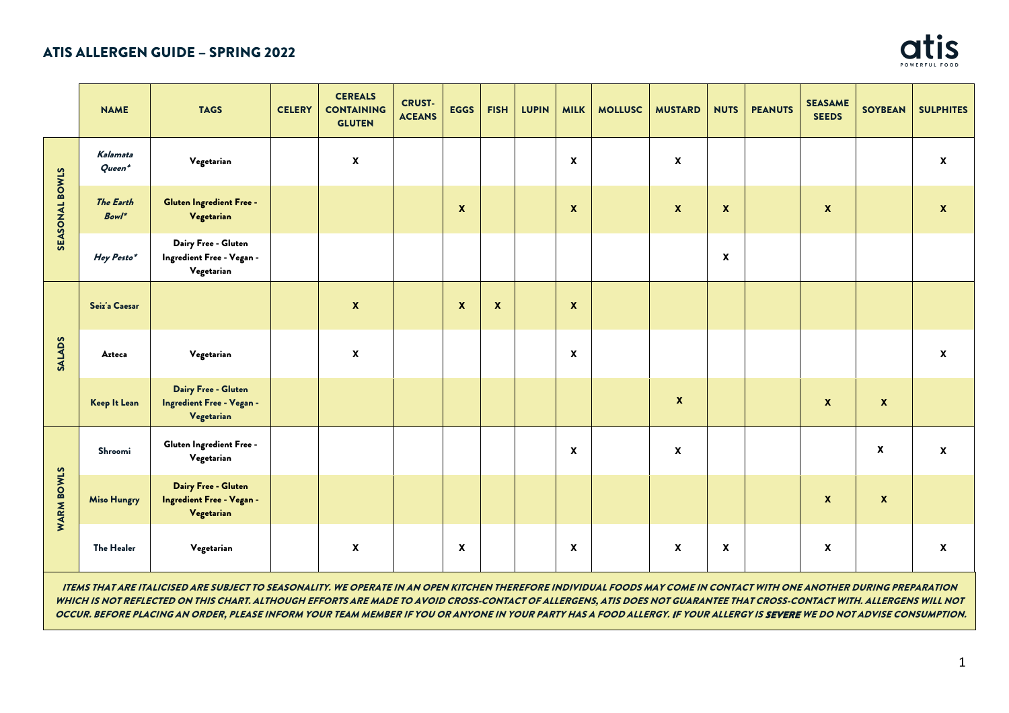

|                   | <b>NAME</b>                  | <b>TAGS</b>                                                    | <b>CELERY</b> | <b>CEREALS</b><br><b>CONTAINING</b><br><b>GLUTEN</b> | <b>CRUST-</b><br><b>ACEANS</b> | <b>EGGS</b>        | <b>FISH</b>        | <b>LUPIN</b> | <b>MILK</b>        | <b>MOLLUSC</b> | <b>MUSTARD</b> | <b>NUTS</b>               | <b>PEANUTS</b> | <b>SEASAME</b><br><b>SEEDS</b> | <b>SOYBEAN</b>            | <b>SULPHITES</b>   |
|-------------------|------------------------------|----------------------------------------------------------------|---------------|------------------------------------------------------|--------------------------------|--------------------|--------------------|--------------|--------------------|----------------|----------------|---------------------------|----------------|--------------------------------|---------------------------|--------------------|
| SEASONAL BOWLS    | Kalamata<br>$Queen*$         | Vegetarian                                                     |               | $\boldsymbol{\mathsf{x}}$                            |                                |                    |                    |              | X                  |                | X              |                           |                |                                |                           | $\pmb{\mathsf{x}}$ |
|                   | <b>The Earth</b><br>$Bowl^*$ | <b>Gluten Ingredient Free -</b><br>Vegetarian                  |               |                                                      |                                | $\boldsymbol{x}$   |                    |              | $\mathbf{x}$       |                | $\mathbf{x}$   | $\boldsymbol{x}$          |                | $\mathbf{x}$                   |                           | $\boldsymbol{x}$   |
|                   | Hey Pesto*                   | Dairy Free - Gluten<br>Ingredient Free - Vegan -<br>Vegetarian |               |                                                      |                                |                    |                    |              |                    |                |                | $\pmb{\chi}$              |                |                                |                           |                    |
| <b>SALADS</b>     | Seiz'a Caesar                |                                                                |               | $\mathbf{x}$                                         |                                | $\pmb{\mathsf{x}}$ | $\pmb{\mathsf{x}}$ |              | $\pmb{\mathsf{x}}$ |                |                |                           |                |                                |                           |                    |
|                   | Azteca                       | Vegetarian                                                     |               | $\pmb{\mathsf{x}}$                                   |                                |                    |                    |              | X                  |                |                |                           |                |                                |                           | $\pmb{\mathsf{x}}$ |
|                   | Keep It Lean                 | Dairy Free - Gluten<br>Ingredient Free - Vegan -<br>Vegetarian |               |                                                      |                                |                    |                    |              |                    |                | $\mathbf{x}$   |                           |                | $\boldsymbol{x}$               | $\pmb{\chi}$              |                    |
|                   | Shroomi                      | Gluten Ingredient Free -<br>Vegetarian                         |               |                                                      |                                |                    |                    |              | X                  |                | X              |                           |                |                                | $\pmb{\mathsf{x}}$        | $\mathbf{x}$       |
| <b>WARM BOWLS</b> | <b>Miso Hungry</b>           | Dairy Free - Gluten<br>Ingredient Free - Vegan -<br>Vegetarian |               |                                                      |                                |                    |                    |              |                    |                |                |                           |                | $\pmb{\mathsf{x}}$             | $\boldsymbol{\mathsf{x}}$ |                    |
|                   | <b>The Healer</b>            | Vegetarian                                                     |               | $\boldsymbol{\mathsf{x}}$                            |                                | $\pmb{\mathsf{x}}$ |                    |              | X                  |                | X              | $\boldsymbol{\mathsf{x}}$ |                | $\pmb{\mathsf{x}}$             |                           | X                  |

ITEMS THAT ARE ITALICISED ARE SUBJECT TO SEASONALITY. WE OPERATE IN AN OPEN KITCHEN THEREFORE INDIVIDUAL FOODS MAY COME IN CONTACT WITH ONE ANOTHER DURING PREPARATION WHICH IS NOT REFLECTED ON THIS CHART. ALTHOUGH EFFORTS ARE MADE TO AVOID CROSS-CONTACT OF ALLERGENS, ATIS DOES NOT GUARANTEE THAT CROSS-CONTACT WITH. ALLERGENS WILL NOT OCCUR. BEFORE PLACING AN ORDER, PLEASE INFORM YOUR TEAM MEMBER IF YOU OR ANYONE IN YOUR PARTY HAS A FOOD ALLERGY. IF YOUR ALLERGY IS **SEVERE** WE DO NOT ADVISE CONSUMPTION.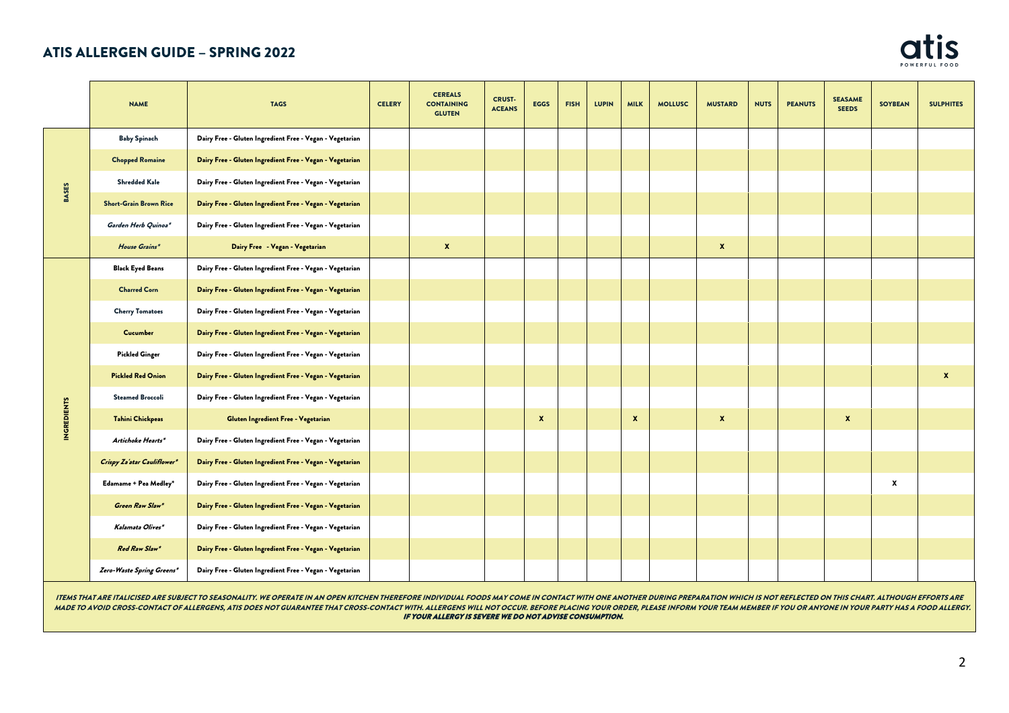

|                    | <b>NAME</b>                   | <b>TAGS</b>                                              | <b>CELERY</b> | <b>CEREALS</b><br><b>CONTAINING</b><br><b>GLUTEN</b> | <b>CRUST-</b><br><b>ACEANS</b> | <b>EGGS</b> | <b>FISH</b> | <b>LUPIN</b> | <b>MILK</b>  | <b>MOLLUSC</b> | <b>MUSTARD</b>   | <b>NUTS</b> | <b>PEANUTS</b> | <b>SEASAME</b><br><b>SEEDS</b> | <b>SOYBEAN</b> | <b>SULPHITES</b> |
|--------------------|-------------------------------|----------------------------------------------------------|---------------|------------------------------------------------------|--------------------------------|-------------|-------------|--------------|--------------|----------------|------------------|-------------|----------------|--------------------------------|----------------|------------------|
|                    | <b>Baby Spinach</b>           | Dairy Free - Gluten Ingredient Free - Vegan - Vegetarian |               |                                                      |                                |             |             |              |              |                |                  |             |                |                                |                |                  |
|                    | <b>Chopped Romaine</b>        | Dairy Free - Gluten Ingredient Free - Vegan - Vegetarian |               |                                                      |                                |             |             |              |              |                |                  |             |                |                                |                |                  |
|                    | <b>Shredded Kale</b>          | Dairy Free - Gluten Ingredient Free - Vegan - Vegetarian |               |                                                      |                                |             |             |              |              |                |                  |             |                |                                |                |                  |
| <b>BASES</b>       | <b>Short-Grain Brown Rice</b> | Dairy Free - Gluten Ingredient Free - Vegan - Vegetarian |               |                                                      |                                |             |             |              |              |                |                  |             |                |                                |                |                  |
|                    | Garden Herb Quinoa*           | Dairy Free - Gluten Ingredient Free - Vegan - Vegetarian |               |                                                      |                                |             |             |              |              |                |                  |             |                |                                |                |                  |
|                    | House Grains*                 | Dairy Free - Vegan - Vegetarian                          |               | $\boldsymbol{x}$                                     |                                |             |             |              |              |                | $\boldsymbol{x}$ |             |                |                                |                |                  |
|                    | <b>Black Eyed Beans</b>       | Dairy Free - Gluten Ingredient Free - Vegan - Vegetarian |               |                                                      |                                |             |             |              |              |                |                  |             |                |                                |                |                  |
|                    | <b>Charred Corn</b>           | Dairy Free - Gluten Ingredient Free - Vegan - Vegetarian |               |                                                      |                                |             |             |              |              |                |                  |             |                |                                |                |                  |
|                    | <b>Cherry Tomatoes</b>        | Dairy Free - Gluten Ingredient Free - Vegan - Vegetarian |               |                                                      |                                |             |             |              |              |                |                  |             |                |                                |                |                  |
|                    | Cucumber                      | Dairy Free - Gluten Ingredient Free - Vegan - Vegetarian |               |                                                      |                                |             |             |              |              |                |                  |             |                |                                |                |                  |
|                    | <b>Pickled Ginger</b>         | Dairy Free - Gluten Ingredient Free - Vegan - Vegetarian |               |                                                      |                                |             |             |              |              |                |                  |             |                |                                |                |                  |
|                    | <b>Pickled Red Onion</b>      | Dairy Free - Gluten Ingredient Free - Vegan - Vegetarian |               |                                                      |                                |             |             |              |              |                |                  |             |                |                                |                | $\mathbf{x}$     |
|                    | <b>Steamed Broccoli</b>       | Dairy Free - Gluten Ingredient Free - Vegan - Vegetarian |               |                                                      |                                |             |             |              |              |                |                  |             |                |                                |                |                  |
| <b>INGREDIENTS</b> | <b>Tahini Chickpeas</b>       | Gluten Ingredient Free - Vegetarian                      |               |                                                      |                                | X           |             |              | $\pmb{\chi}$ |                | $\boldsymbol{x}$ |             |                | $\pmb{\mathsf{x}}$             |                |                  |
|                    | Artichoke Hearts*             | Dairy Free - Gluten Ingredient Free - Vegan - Vegetarian |               |                                                      |                                |             |             |              |              |                |                  |             |                |                                |                |                  |
|                    | Crispy Za'atar Cauliflower*   | Dairy Free - Gluten Ingredient Free - Vegan - Vegetarian |               |                                                      |                                |             |             |              |              |                |                  |             |                |                                |                |                  |
|                    | Edamame + Pea Medley*         | Dairy Free - Gluten Ingredient Free - Vegan - Vegetarian |               |                                                      |                                |             |             |              |              |                |                  |             |                |                                | X              |                  |
|                    | Green Raw Slaw*               | Dairy Free - Gluten Ingredient Free - Vegan - Vegetarian |               |                                                      |                                |             |             |              |              |                |                  |             |                |                                |                |                  |
|                    | Kalamata Olives*              | Dairy Free - Gluten Ingredient Free - Vegan - Vegetarian |               |                                                      |                                |             |             |              |              |                |                  |             |                |                                |                |                  |
|                    | Red Raw Slaw*                 | Dairy Free - Gluten Ingredient Free - Vegan - Vegetarian |               |                                                      |                                |             |             |              |              |                |                  |             |                |                                |                |                  |
|                    | Zero-Waste Spring Greens*     | Dairy Free - Gluten Ingredient Free - Vegan - Vegetarian |               |                                                      |                                |             |             |              |              |                |                  |             |                |                                |                |                  |

ITEMS THAT ARE ITALICISED ARE SUBJECT TO SEASONALITY. WE OPERATE IN AN OPEN KITCHEN THEREFORE INDIVIDUAL FOODS MAY COME IN CONTACT WITH ONE ANOTHER DURING PREPARATION WHICH IS NOT REFLECTED ON THIS CHART. ALTHOUGH EFFORTS MADE TO AVOID CROSS-CONTACT OF ALLERGENS, ATIS DOES NOT GUARANTEE THAT CROSS-CONTACT WITH. ALLERGENS WILL NOT OCCUR. BEFORE PLACING YOUR ORDER, PLEASE INFORM YOUR TEAM MEMBER IF YOU OR ANYONE IN YOUR PARTY HAS A FOOD ALLER IF YOUR ALLERGY IS SEVERE WE DO NOT ADVISE CONSUMPTION.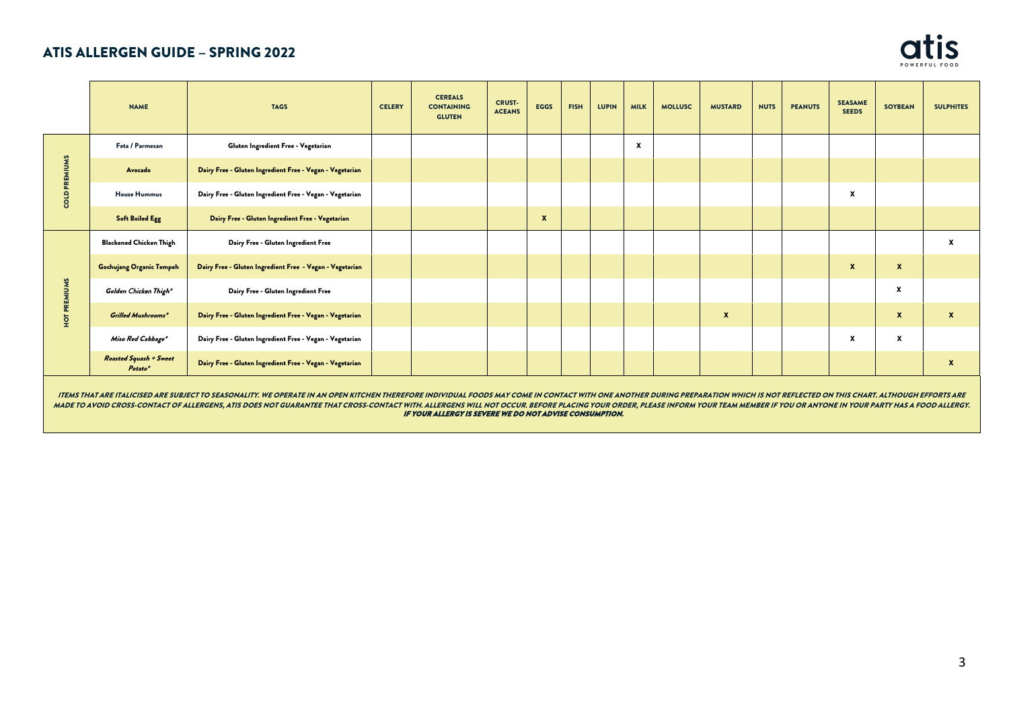

|                                                                                                                                                                                                                                                                                                                                                                                                                                                                                                                            | <b>NAME</b>                              | <b>TAGS</b>                                              | <b>CELERY</b> | <b>CEREALS</b><br><b>CONTAINING</b><br><b>GLUTEN</b> | <b>CRUST-</b><br><b>ACEANS</b> | <b>EGGS</b>  | <b>FISH</b> | <b>LUPIN</b> | <b>MILK</b>      | <b>MOLLUSC</b> | <b>MUSTARD</b>   | <b>NUTS</b> | <b>PEANUTS</b> | <b>SEASAME</b><br><b>SEEDS</b> | <b>SOYBEAN</b>   | <b>SULPHITES</b> |
|----------------------------------------------------------------------------------------------------------------------------------------------------------------------------------------------------------------------------------------------------------------------------------------------------------------------------------------------------------------------------------------------------------------------------------------------------------------------------------------------------------------------------|------------------------------------------|----------------------------------------------------------|---------------|------------------------------------------------------|--------------------------------|--------------|-------------|--------------|------------------|----------------|------------------|-------------|----------------|--------------------------------|------------------|------------------|
|                                                                                                                                                                                                                                                                                                                                                                                                                                                                                                                            | Feta / Parmesan                          | Gluten Ingredient Free - Vegetarian                      |               |                                                      |                                |              |             |              | $\boldsymbol{x}$ |                |                  |             |                |                                |                  |                  |
| EMIUM<br>႙                                                                                                                                                                                                                                                                                                                                                                                                                                                                                                                 | Avocado                                  | Dairy Free - Gluten Ingredient Free - Vegan - Vegetarian |               |                                                      |                                |              |             |              |                  |                |                  |             |                |                                |                  |                  |
|                                                                                                                                                                                                                                                                                                                                                                                                                                                                                                                            | <b>House Hummus</b>                      | Dairy Free - Gluten Ingredient Free - Vegan - Vegetarian |               |                                                      |                                |              |             |              |                  |                |                  |             |                | x                              |                  |                  |
|                                                                                                                                                                                                                                                                                                                                                                                                                                                                                                                            | <b>Soft Boiled Egg</b>                   | Dairy Free - Gluten Ingredient Free - Vegetarian         |               |                                                      |                                | $\mathbf{x}$ |             |              |                  |                |                  |             |                |                                |                  |                  |
|                                                                                                                                                                                                                                                                                                                                                                                                                                                                                                                            | <b>Blackened Chicken Thigh</b>           | Dairy Free - Gluten Ingredient Free                      |               |                                                      |                                |              |             |              |                  |                |                  |             |                |                                |                  | x                |
|                                                                                                                                                                                                                                                                                                                                                                                                                                                                                                                            | <b>Gochujang Organic Tempeh</b>          | Dairy Free - Gluten Ingredient Free - Vegan - Vegetarian |               |                                                      |                                |              |             |              |                  |                |                  |             |                | $\mathbf{x}$                   | $\mathbf{x}$     |                  |
| REMIUMS                                                                                                                                                                                                                                                                                                                                                                                                                                                                                                                    | Golden Chicken Thigh*                    | Dairy Free - Gluten Ingredient Free                      |               |                                                      |                                |              |             |              |                  |                |                  |             |                |                                | X                |                  |
| Îй                                                                                                                                                                                                                                                                                                                                                                                                                                                                                                                         | <b>Grilled Mushrooms*</b>                | Dairy Free - Gluten Ingredient Free - Vegan - Vegetarian |               |                                                      |                                |              |             |              |                  |                | $\boldsymbol{x}$ |             |                |                                | $\mathbf{x}$     | $\mathbf{x}$     |
|                                                                                                                                                                                                                                                                                                                                                                                                                                                                                                                            | Miso Red Cabbage*                        | Dairy Free - Gluten Ingredient Free - Vegan - Vegetarian |               |                                                      |                                |              |             |              |                  |                |                  |             |                | X                              | $\boldsymbol{x}$ |                  |
|                                                                                                                                                                                                                                                                                                                                                                                                                                                                                                                            | <b>Roasted Squash + Sweet</b><br>Potato* | Dairy Free - Gluten Ingredient Free - Vegan - Vegetarian |               |                                                      |                                |              |             |              |                  |                |                  |             |                |                                |                  | $\boldsymbol{x}$ |
| ITEMS THAT ARE ITALICISED ARE SUBJECT TO SEASONALITY. WE OPERATE IN AN OPEN KITCHEN THEREFORE INDIVIDUAL FOODS MAY COME IN CONTACT WITH ONE ANOTHER DURING PREPARATION WHICH IS NOT REFLECTED ON THIS CHART. ALTHOUGH EFFORTS<br>MADE TO AVOID CROSS-CONTACT OF ALLERGENS, ATIS DOES NOT GUARANTEE THAT CROSS-CONTACT WITH. ALLERGENS WILL NOT OCCUR. BEFORE PLACING YOUR ORDER, PLEASE INFORM YOUR TEAM MEMBER IF YOU OR ANYONE IN YOUR PARTY HAS A FOOD ALLER<br>IF YOUR ALLERGY IS SEVERE WE DO NOT ADVISE CONSUMPTION. |                                          |                                                          |               |                                                      |                                |              |             |              |                  |                |                  |             |                |                                |                  |                  |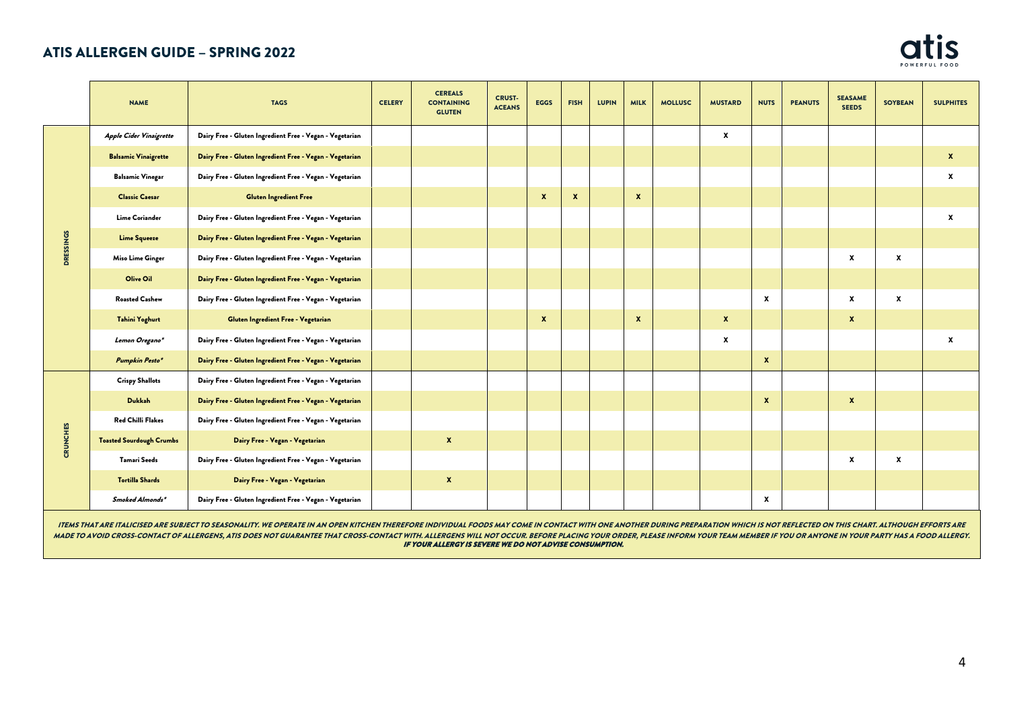

|                  | <b>NAME</b>                     | <b>TAGS</b>                                              | <b>CELERY</b> | <b>CEREALS</b><br><b>CONTAINING</b><br><b>GLUTEN</b> | <b>CRUST-</b><br><b>ACEANS</b> | <b>EGGS</b>  | <b>FISH</b>      | <b>LUPIN</b> | <b>MILK</b>      | <b>MOLLUSC</b> | <b>MUSTARD</b> | <b>NUTS</b>               | <b>PEANUTS</b> | <b>SEASAME</b><br><b>SEEDS</b> | <b>SOYBEAN</b> | <b>SULPHITES</b>   |
|------------------|---------------------------------|----------------------------------------------------------|---------------|------------------------------------------------------|--------------------------------|--------------|------------------|--------------|------------------|----------------|----------------|---------------------------|----------------|--------------------------------|----------------|--------------------|
|                  | <b>Apple Cider Vinaigrette</b>  | Dairy Free - Gluten Ingredient Free - Vegan - Vegetarian |               |                                                      |                                |              |                  |              |                  |                | $\mathbf{x}$   |                           |                |                                |                |                    |
|                  | <b>Balsamic Vinaigrette</b>     | Dairy Free - Gluten Ingredient Free - Vegan - Vegetarian |               |                                                      |                                |              |                  |              |                  |                |                |                           |                |                                |                | $\boldsymbol{x}$   |
|                  | <b>Balsamic Vinegar</b>         | Dairy Free - Gluten Ingredient Free - Vegan - Vegetarian |               |                                                      |                                |              |                  |              |                  |                |                |                           |                |                                |                | x                  |
|                  | <b>Classic Caesar</b>           | <b>Gluten Ingredient Free</b>                            |               |                                                      |                                | $\mathbf{x}$ | $\boldsymbol{x}$ |              | $\boldsymbol{x}$ |                |                |                           |                |                                |                |                    |
|                  | Lime Coriander                  | Dairy Free - Gluten Ingredient Free - Vegan - Vegetarian |               |                                                      |                                |              |                  |              |                  |                |                |                           |                |                                |                | $\pmb{\mathsf{x}}$ |
| <b>DRESSINGS</b> | <b>Lime Squeeze</b>             | Dairy Free - Gluten Ingredient Free - Vegan - Vegetarian |               |                                                      |                                |              |                  |              |                  |                |                |                           |                |                                |                |                    |
|                  | Miso Lime Ginger                | Dairy Free - Gluten Ingredient Free - Vegan - Vegetarian |               |                                                      |                                |              |                  |              |                  |                |                |                           |                | $\pmb{\chi}$                   | x              |                    |
|                  | Olive Oil                       | Dairy Free - Gluten Ingredient Free - Vegan - Vegetarian |               |                                                      |                                |              |                  |              |                  |                |                |                           |                |                                |                |                    |
|                  | <b>Roasted Cashew</b>           | Dairy Free - Gluten Ingredient Free - Vegan - Vegetarian |               |                                                      |                                |              |                  |              |                  |                |                | $\boldsymbol{\mathsf{x}}$ |                | x                              | x              |                    |
|                  | <b>Tahini Yoghurt</b>           | Gluten Ingredient Free - Vegetarian                      |               |                                                      |                                | $\mathbf{x}$ |                  |              | $\boldsymbol{x}$ |                | $\mathbf{x}$   |                           |                | $\boldsymbol{x}$               |                |                    |
|                  | Lemon Oregano*                  | Dairy Free - Gluten Ingredient Free - Vegan - Vegetarian |               |                                                      |                                |              |                  |              |                  |                | $\pmb{\chi}$   |                           |                |                                |                | x                  |
|                  | Pumpkin Pesto*                  | Dairy Free - Gluten Ingredient Free - Vegan - Vegetarian |               |                                                      |                                |              |                  |              |                  |                |                | $\mathbf{x}$              |                |                                |                |                    |
|                  | <b>Crispy Shallots</b>          | Dairy Free - Gluten Ingredient Free - Vegan - Vegetarian |               |                                                      |                                |              |                  |              |                  |                |                |                           |                |                                |                |                    |
|                  | Dukkah                          | Dairy Free - Gluten Ingredient Free - Vegan - Vegetarian |               |                                                      |                                |              |                  |              |                  |                |                | $\mathbf{x}$              |                | $\boldsymbol{x}$               |                |                    |
|                  | <b>Red Chilli Flakes</b>        | Dairy Free - Gluten Ingredient Free - Vegan - Vegetarian |               |                                                      |                                |              |                  |              |                  |                |                |                           |                |                                |                |                    |
| <b>CRUNCHES</b>  | <b>Toasted Sourdough Crumbs</b> | Dairy Free - Vegan - Vegetarian                          |               | $\pmb{\mathsf{x}}$                                   |                                |              |                  |              |                  |                |                |                           |                |                                |                |                    |
|                  | Tamari Seeds                    | Dairy Free - Gluten Ingredient Free - Vegan - Vegetarian |               |                                                      |                                |              |                  |              |                  |                |                |                           |                | X                              | $\pmb{\chi}$   |                    |
|                  | <b>Tortilla Shards</b>          | Dairy Free - Vegan - Vegetarian                          |               | $\mathbf{x}$                                         |                                |              |                  |              |                  |                |                |                           |                |                                |                |                    |
|                  | Smoked Almonds*                 | Dairy Free - Gluten Ingredient Free - Vegan - Vegetarian |               |                                                      |                                |              |                  |              |                  |                |                | $\mathbf{x}$              |                |                                |                |                    |

ITEMS THAT ARE ITALICISED ARE SUBJECT TO SEASONALITY. WE OPERATE IN AN OPEN KITCHEN THEREFORE INDIVIDUAL FOODS MAY COME IN CONTACT WITH ONE ANOTHER DURING PREPARATION WHICH IS NOT REFLECTED ON THIS CHART. ALTHOUGH EFFORTS MADE TO AVOID CROSS-CONTACT OF ALLERGENS, ATIS DOES NOT GUARANTEE THAT CROSS-CONTACT WITH. ALLERGENS WILL NOT OCCUR. BEFORE PLACING YOUR ORDER, PLEASE INFORM YOUR TEAM MEMBER IF YOU OR ANYONE IN YOUR PARTY HAS A FOOD ALLER IF YOUR ALLERGY IS SEVERE WE DO NOT ADVISE CONSUMPTION.